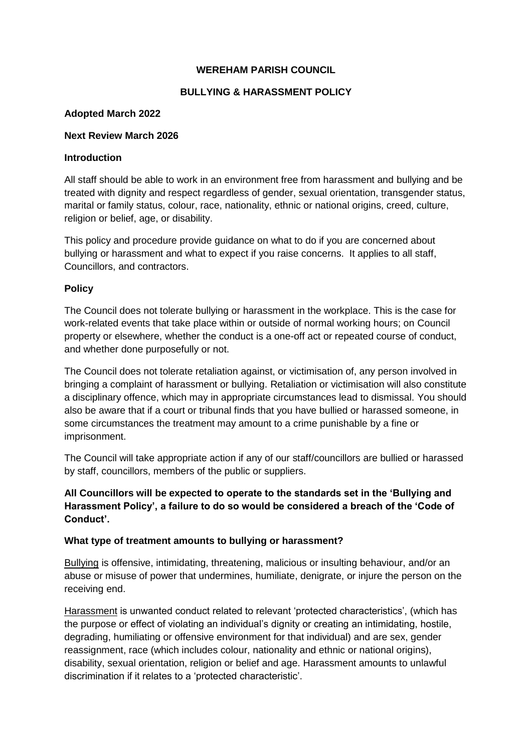# **WEREHAM PARISH COUNCIL**

## **BULLYING & HARASSMENT POLICY**

## **Adopted March 2022**

#### **Next Review March 2026**

#### **Introduction**

All staff should be able to work in an environment free from harassment and bullying and be treated with dignity and respect regardless of gender, sexual orientation, transgender status, marital or family status, colour, race, nationality, ethnic or national origins, creed, culture, religion or belief, age, or disability.

This policy and procedure provide guidance on what to do if you are concerned about bullying or harassment and what to expect if you raise concerns. It applies to all staff, Councillors, and contractors.

## **Policy**

The Council does not tolerate bullying or harassment in the workplace. This is the case for work-related events that take place within or outside of normal working hours; on Council property or elsewhere, whether the conduct is a one-off act or repeated course of conduct, and whether done purposefully or not.

The Council does not tolerate retaliation against, or victimisation of, any person involved in bringing a complaint of harassment or bullying. Retaliation or victimisation will also constitute a disciplinary offence, which may in appropriate circumstances lead to dismissal. You should also be aware that if a court or tribunal finds that you have bullied or harassed someone, in some circumstances the treatment may amount to a crime punishable by a fine or imprisonment.

The Council will take appropriate action if any of our staff/councillors are bullied or harassed by staff, councillors, members of the public or suppliers.

# **All Councillors will be expected to operate to the standards set in the 'Bullying and Harassment Policy', a failure to do so would be considered a breach of the 'Code of Conduct'.**

## **What type of treatment amounts to bullying or harassment?**

Bullying is offensive, intimidating, threatening, malicious or insulting behaviour, and/or an abuse or misuse of power that undermines, humiliate, denigrate, or injure the person on the receiving end.

Harassment is unwanted conduct related to relevant 'protected characteristics', (which has the purpose or effect of violating an individual's dignity or creating an intimidating, hostile, degrading, humiliating or offensive environment for that individual) and are sex, gender reassignment, race (which includes colour, nationality and ethnic or national origins), disability, sexual orientation, religion or belief and age. Harassment amounts to unlawful discrimination if it relates to a 'protected characteristic'.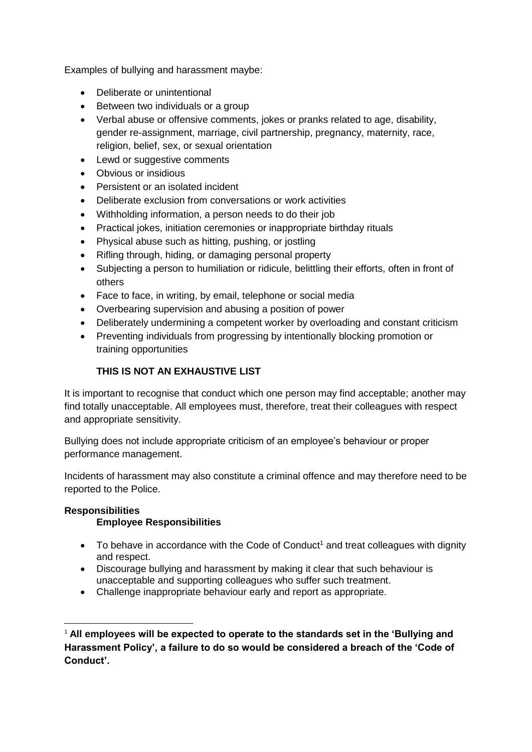Examples of bullying and harassment maybe:

- Deliberate or unintentional
- Between two individuals or a group
- Verbal abuse or offensive comments, jokes or pranks related to age, disability, gender re-assignment, marriage, civil partnership, pregnancy, maternity, race, religion, belief, sex, or sexual orientation
- Lewd or suggestive comments
- Obvious or insidious
- Persistent or an isolated incident
- Deliberate exclusion from conversations or work activities
- Withholding information, a person needs to do their job
- Practical jokes, initiation ceremonies or inappropriate birthday rituals
- Physical abuse such as hitting, pushing, or jostling
- Rifling through, hiding, or damaging personal property
- Subjecting a person to humiliation or ridicule, belittling their efforts, often in front of others
- Face to face, in writing, by email, telephone or social media
- Overbearing supervision and abusing a position of power
- Deliberately undermining a competent worker by overloading and constant criticism
- Preventing individuals from progressing by intentionally blocking promotion or training opportunities

# **THIS IS NOT AN EXHAUSTIVE LIST**

It is important to recognise that conduct which one person may find acceptable; another may find totally unacceptable. All employees must, therefore, treat their colleagues with respect and appropriate sensitivity.

Bullying does not include appropriate criticism of an employee's behaviour or proper performance management.

Incidents of harassment may also constitute a criminal offence and may therefore need to be reported to the Police.

# **Responsibilities**

1

# **Employee Responsibilities**

- $\bullet$  To behave in accordance with the Code of Conduct<sup>1</sup> and treat colleagues with dignity and respect.
- Discourage bullying and harassment by making it clear that such behaviour is unacceptable and supporting colleagues who suffer such treatment.
- Challenge inappropriate behaviour early and report as appropriate.

<sup>1</sup> **All employees will be expected to operate to the standards set in the 'Bullying and Harassment Policy', a failure to do so would be considered a breach of the 'Code of Conduct'.**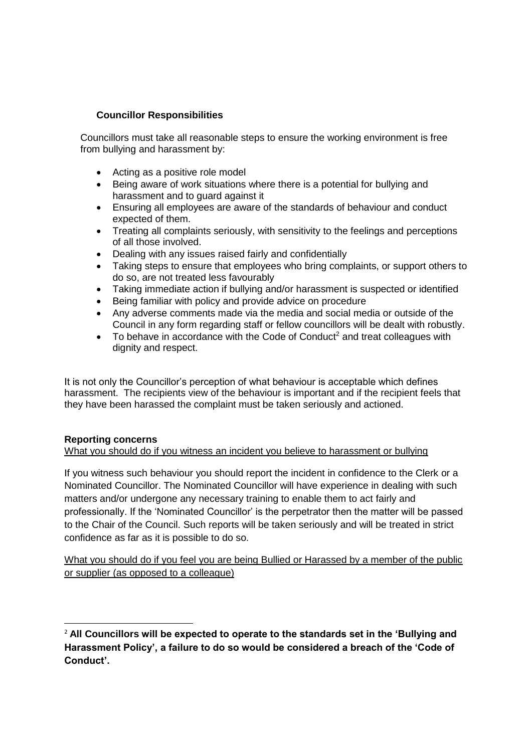# **Councillor Responsibilities**

Councillors must take all reasonable steps to ensure the working environment is free from bullying and harassment by:

- Acting as a positive role model
- Being aware of work situations where there is a potential for bullying and harassment and to guard against it
- Ensuring all employees are aware of the standards of behaviour and conduct expected of them.
- Treating all complaints seriously, with sensitivity to the feelings and perceptions of all those involved.
- Dealing with any issues raised fairly and confidentially
- Taking steps to ensure that employees who bring complaints, or support others to do so, are not treated less favourably
- Taking immediate action if bullying and/or harassment is suspected or identified
- Being familiar with policy and provide advice on procedure
- Any adverse comments made via the media and social media or outside of the Council in any form regarding staff or fellow councillors will be dealt with robustly.
- To behave in accordance with the Code of Conduct<sup>2</sup> and treat colleagues with dignity and respect.

It is not only the Councillor's perception of what behaviour is acceptable which defines harassment. The recipients view of the behaviour is important and if the recipient feels that they have been harassed the complaint must be taken seriously and actioned.

#### **Reporting concerns**

1

#### What you should do if you witness an incident you believe to harassment or bullying

If you witness such behaviour you should report the incident in confidence to the Clerk or a Nominated Councillor. The Nominated Councillor will have experience in dealing with such matters and/or undergone any necessary training to enable them to act fairly and professionally. If the 'Nominated Councillor' is the perpetrator then the matter will be passed to the Chair of the Council. Such reports will be taken seriously and will be treated in strict confidence as far as it is possible to do so.

What you should do if you feel you are being Bullied or Harassed by a member of the public or supplier (as opposed to a colleague)

<sup>2</sup> **All Councillors will be expected to operate to the standards set in the 'Bullying and Harassment Policy', a failure to do so would be considered a breach of the 'Code of Conduct'.**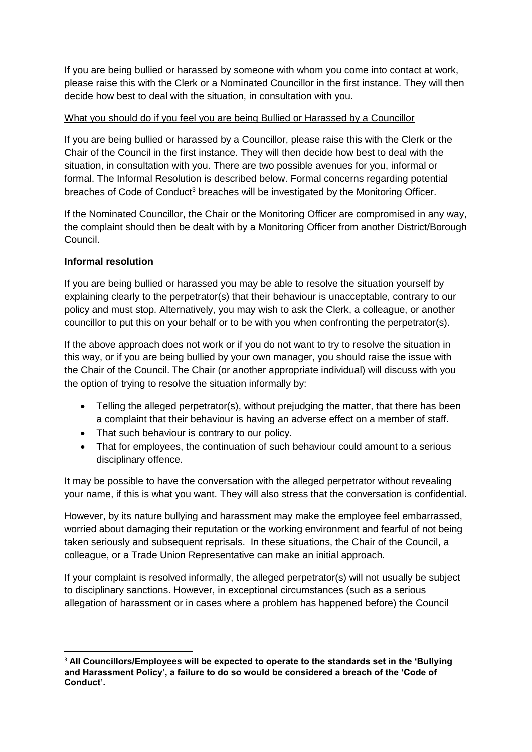If you are being bullied or harassed by someone with whom you come into contact at work, please raise this with the Clerk or a Nominated Councillor in the first instance. They will then decide how best to deal with the situation, in consultation with you.

# What you should do if you feel you are being Bullied or Harassed by a Councillor

If you are being bullied or harassed by a Councillor, please raise this with the Clerk or the Chair of the Council in the first instance. They will then decide how best to deal with the situation, in consultation with you. There are two possible avenues for you, informal or formal. The Informal Resolution is described below. Formal concerns regarding potential breaches of Code of Conduct<sup>3</sup> breaches will be investigated by the Monitoring Officer.

If the Nominated Councillor, the Chair or the Monitoring Officer are compromised in any way, the complaint should then be dealt with by a Monitoring Officer from another District/Borough Council.

# **Informal resolution**

**.** 

If you are being bullied or harassed you may be able to resolve the situation yourself by explaining clearly to the perpetrator(s) that their behaviour is unacceptable, contrary to our policy and must stop. Alternatively, you may wish to ask the Clerk, a colleague, or another councillor to put this on your behalf or to be with you when confronting the perpetrator(s).

If the above approach does not work or if you do not want to try to resolve the situation in this way, or if you are being bullied by your own manager, you should raise the issue with the Chair of the Council. The Chair (or another appropriate individual) will discuss with you the option of trying to resolve the situation informally by:

- Telling the alleged perpetrator(s), without prejudging the matter, that there has been a complaint that their behaviour is having an adverse effect on a member of staff.
- That such behaviour is contrary to our policy.
- That for employees, the continuation of such behaviour could amount to a serious disciplinary offence.

It may be possible to have the conversation with the alleged perpetrator without revealing your name, if this is what you want. They will also stress that the conversation is confidential.

However, by its nature bullying and harassment may make the employee feel embarrassed, worried about damaging their reputation or the working environment and fearful of not being taken seriously and subsequent reprisals. In these situations, the Chair of the Council, a colleague, or a Trade Union Representative can make an initial approach.

If your complaint is resolved informally, the alleged perpetrator(s) will not usually be subject to disciplinary sanctions. However, in exceptional circumstances (such as a serious allegation of harassment or in cases where a problem has happened before) the Council

<sup>3</sup> **All Councillors/Employees will be expected to operate to the standards set in the 'Bullying and Harassment Policy', a failure to do so would be considered a breach of the 'Code of Conduct'.**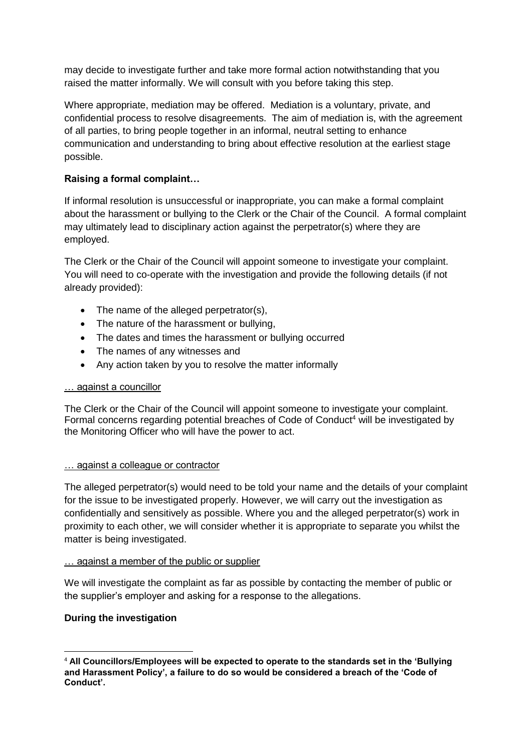may decide to investigate further and take more formal action notwithstanding that you raised the matter informally. We will consult with you before taking this step.

Where appropriate, mediation may be offered. Mediation is a voluntary, private, and confidential process to resolve disagreements. The aim of mediation is, with the agreement of all parties, to bring people together in an informal, neutral setting to enhance communication and understanding to bring about effective resolution at the earliest stage possible.

# **Raising a formal complaint…**

If informal resolution is unsuccessful or inappropriate, you can make a formal complaint about the harassment or bullying to the Clerk or the Chair of the Council. A formal complaint may ultimately lead to disciplinary action against the perpetrator(s) where they are employed.

The Clerk or the Chair of the Council will appoint someone to investigate your complaint. You will need to co-operate with the investigation and provide the following details (if not already provided):

- The name of the alleged perpetrator(s),
- The nature of the harassment or bullying,
- The dates and times the harassment or bullying occurred
- The names of any witnesses and
- Any action taken by you to resolve the matter informally

## … against a councillor

The Clerk or the Chair of the Council will appoint someone to investigate your complaint. Formal concerns regarding potential breaches of Code of Conduct<sup>4</sup> will be investigated by the Monitoring Officer who will have the power to act.

## … against a colleague or contractor

The alleged perpetrator(s) would need to be told your name and the details of your complaint for the issue to be investigated properly. However, we will carry out the investigation as confidentially and sensitively as possible. Where you and the alleged perpetrator(s) work in proximity to each other, we will consider whether it is appropriate to separate you whilst the matter is being investigated.

## … against a member of the public or supplier

We will investigate the complaint as far as possible by contacting the member of public or the supplier's employer and asking for a response to the allegations.

# **During the investigation**

**<sup>.</sup>** <sup>4</sup> **All Councillors/Employees will be expected to operate to the standards set in the 'Bullying and Harassment Policy', a failure to do so would be considered a breach of the 'Code of Conduct'.**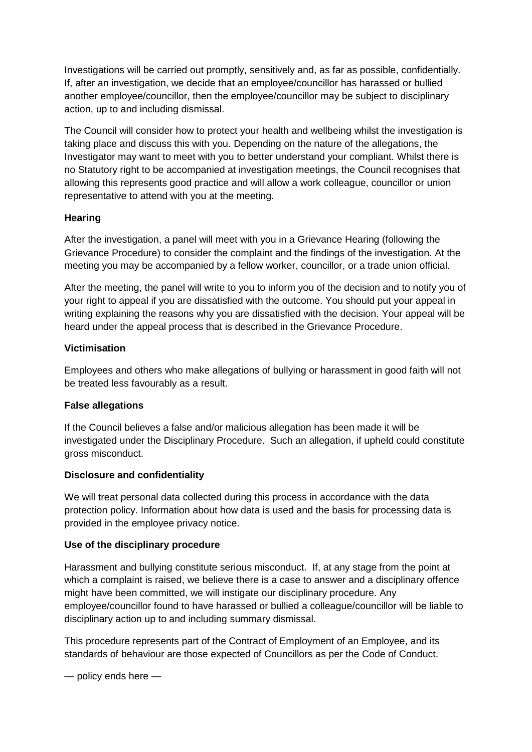Investigations will be carried out promptly, sensitively and, as far as possible, confidentially. If, after an investigation, we decide that an employee/councillor has harassed or bullied another employee/councillor, then the employee/councillor may be subject to disciplinary action, up to and including dismissal.

The Council will consider how to protect your health and wellbeing whilst the investigation is taking place and discuss this with you. Depending on the nature of the allegations, the Investigator may want to meet with you to better understand your compliant. Whilst there is no Statutory right to be accompanied at investigation meetings, the Council recognises that allowing this represents good practice and will allow a work colleague, councillor or union representative to attend with you at the meeting.

# **Hearing**

After the investigation, a panel will meet with you in a Grievance Hearing (following the Grievance Procedure) to consider the complaint and the findings of the investigation. At the meeting you may be accompanied by a fellow worker, councillor, or a trade union official.

After the meeting, the panel will write to you to inform you of the decision and to notify you of your right to appeal if you are dissatisfied with the outcome. You should put your appeal in writing explaining the reasons why you are dissatisfied with the decision. Your appeal will be heard under the appeal process that is described in the Grievance Procedure.

## **Victimisation**

Employees and others who make allegations of bullying or harassment in good faith will not be treated less favourably as a result.

## **False allegations**

If the Council believes a false and/or malicious allegation has been made it will be investigated under the Disciplinary Procedure. Such an allegation, if upheld could constitute gross misconduct.

## **Disclosure and confidentiality**

We will treat personal data collected during this process in accordance with the data protection policy. Information about how data is used and the basis for processing data is provided in the employee privacy notice.

## **Use of the disciplinary procedure**

Harassment and bullying constitute serious misconduct. If, at any stage from the point at which a complaint is raised, we believe there is a case to answer and a disciplinary offence might have been committed, we will instigate our disciplinary procedure. Any employee/councillor found to have harassed or bullied a colleague/councillor will be liable to disciplinary action up to and including summary dismissal.

This procedure represents part of the Contract of Employment of an Employee, and its standards of behaviour are those expected of Councillors as per the Code of Conduct.

— policy ends here —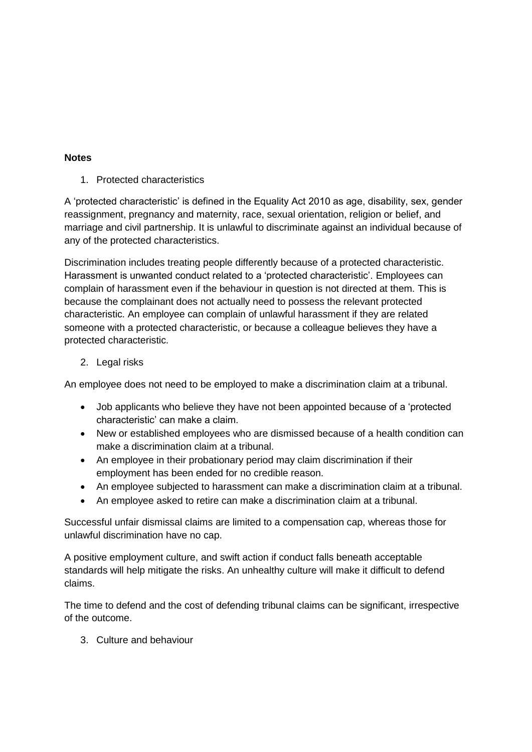# **Notes**

1. Protected characteristics

A 'protected characteristic' is defined in the Equality Act 2010 as age, disability, sex, gender reassignment, pregnancy and maternity, race, sexual orientation, religion or belief, and marriage and civil partnership. It is unlawful to discriminate against an individual because of any of the protected characteristics.

Discrimination includes treating people differently because of a protected characteristic. Harassment is unwanted conduct related to a 'protected characteristic'. Employees can complain of harassment even if the behaviour in question is not directed at them. This is because the complainant does not actually need to possess the relevant protected characteristic. An employee can complain of unlawful harassment if they are related someone with a protected characteristic, or because a colleague believes they have a protected characteristic.

2. Legal risks

An employee does not need to be employed to make a discrimination claim at a tribunal.

- Job applicants who believe they have not been appointed because of a 'protected characteristic' can make a claim.
- New or established employees who are dismissed because of a health condition can make a discrimination claim at a tribunal.
- An employee in their probationary period may claim discrimination if their employment has been ended for no credible reason.
- An employee subjected to harassment can make a discrimination claim at a tribunal.
- An employee asked to retire can make a discrimination claim at a tribunal.

Successful unfair dismissal claims are limited to a compensation cap, whereas those for unlawful discrimination have no cap.

A positive employment culture, and swift action if conduct falls beneath acceptable standards will help mitigate the risks. An unhealthy culture will make it difficult to defend claims.

The time to defend and the cost of defending tribunal claims can be significant, irrespective of the outcome.

3. Culture and behaviour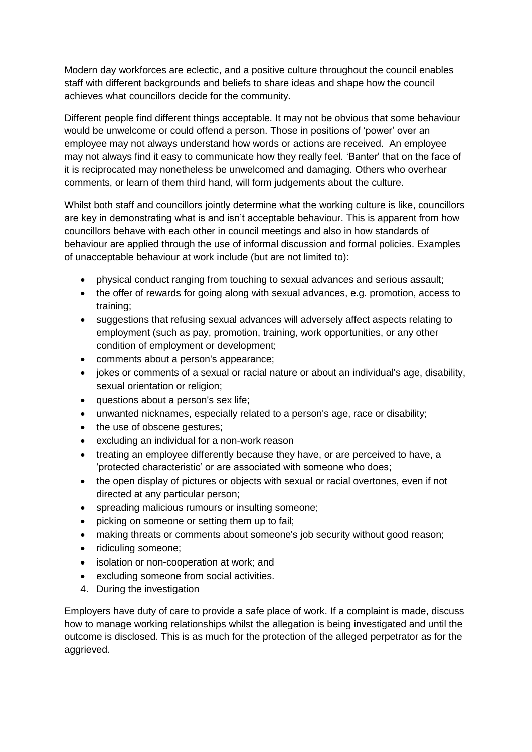Modern day workforces are eclectic, and a positive culture throughout the council enables staff with different backgrounds and beliefs to share ideas and shape how the council achieves what councillors decide for the community.

Different people find different things acceptable. It may not be obvious that some behaviour would be unwelcome or could offend a person. Those in positions of 'power' over an employee may not always understand how words or actions are received. An employee may not always find it easy to communicate how they really feel. 'Banter' that on the face of it is reciprocated may nonetheless be unwelcomed and damaging. Others who overhear comments, or learn of them third hand, will form judgements about the culture.

Whilst both staff and councillors jointly determine what the working culture is like, councillors are key in demonstrating what is and isn't acceptable behaviour. This is apparent from how councillors behave with each other in council meetings and also in how standards of behaviour are applied through the use of informal discussion and formal policies. Examples of unacceptable behaviour at work include (but are not limited to):

- physical conduct ranging from touching to sexual advances and serious assault;
- the offer of rewards for going along with sexual advances, e.g. promotion, access to training;
- suggestions that refusing sexual advances will adversely affect aspects relating to employment (such as pay, promotion, training, work opportunities, or any other condition of employment or development;
- comments about a person's appearance;
- jokes or comments of a sexual or racial nature or about an individual's age, disability, sexual orientation or religion;
- questions about a person's sex life;
- unwanted nicknames, especially related to a person's age, race or disability;
- the use of obscene gestures;
- excluding an individual for a non-work reason
- treating an employee differently because they have, or are perceived to have, a 'protected characteristic' or are associated with someone who does;
- the open display of pictures or objects with sexual or racial overtones, even if not directed at any particular person;
- spreading malicious rumours or insulting someone;
- picking on someone or setting them up to fail;
- making threats or comments about someone's job security without good reason;
- ridiculing someone:
- isolation or non-cooperation at work; and
- excluding someone from social activities.
- 4. During the investigation

Employers have duty of care to provide a safe place of work. If a complaint is made, discuss how to manage working relationships whilst the allegation is being investigated and until the outcome is disclosed. This is as much for the protection of the alleged perpetrator as for the aggrieved.